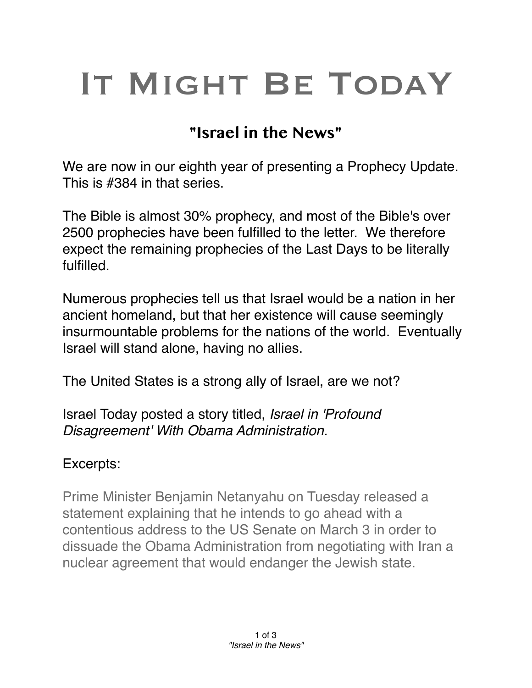## IT MIGHT BE TODAY

## **"Israel in the News"**

We are now in our eighth year of presenting a Prophecy Update. This is #384 in that series.

The Bible is almost 30% prophecy, and most of the Bible's over 2500 prophecies have been fulfilled to the letter. We therefore expect the remaining prophecies of the Last Days to be literally fulfilled.

Numerous prophecies tell us that Israel would be a nation in her ancient homeland, but that her existence will cause seemingly insurmountable problems for the nations of the world. Eventually Israel will stand alone, having no allies.

The United States is a strong ally of Israel, are we not?

Israel Today posted a story titled, *Israel in 'Profound Disagreement' With Obama Administration.*

## Excerpts:

Prime Minister Benjamin Netanyahu on Tuesday released a statement explaining that he intends to go ahead with a contentious address to the US Senate on March 3 in order to dissuade the Obama Administration from negotiating with Iran a nuclear agreement that would endanger the Jewish state.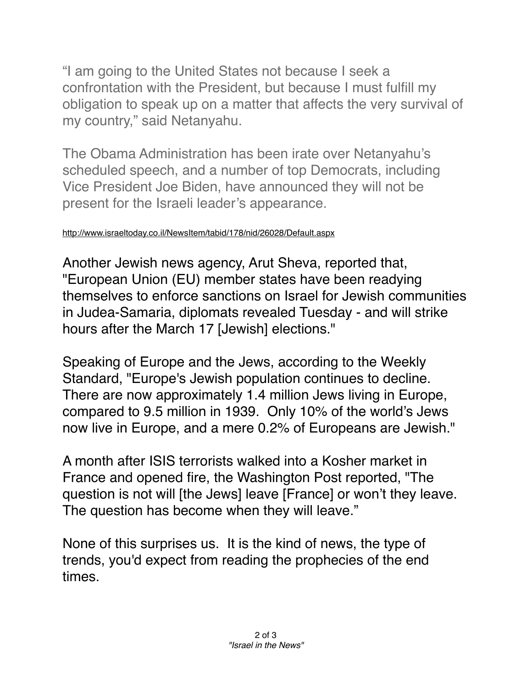"I am going to the United States not because I seek a confrontation with the President, but because I must fulfill my obligation to speak up on a matter that affects the very survival of my country," said Netanyahu.

The Obama Administration has been irate over Netanyahu's scheduled speech, and a number of top Democrats, including Vice President Joe Biden, have announced they will not be present for the Israeli leader's appearance.

## <http://www.israeltoday.co.il/NewsItem/tabid/178/nid/26028/Default.aspx>

Another Jewish news agency, Arut Sheva, reported that, "European Union (EU) member states have been readying themselves to enforce sanctions on Israel for Jewish communities in Judea-Samaria, diplomats revealed Tuesday - and will strike hours after the March 17 [Jewish] elections."

Speaking of Europe and the Jews, according to the Weekly Standard, "Europe's Jewish population continues to decline. There are now approximately 1.4 million Jews living in Europe, compared to 9.5 million in 1939. Only 10% of the world's Jews now live in Europe, and a mere 0.2% of Europeans are Jewish."

A month after ISIS terrorists walked into a Kosher market in France and opened fire, the Washington Post reported, "The question is not will [the Jews] leave [France] or won't they leave. The question has become when they will leave."

None of this surprises us. It is the kind of news, the type of trends, you'd expect from reading the prophecies of the end times.